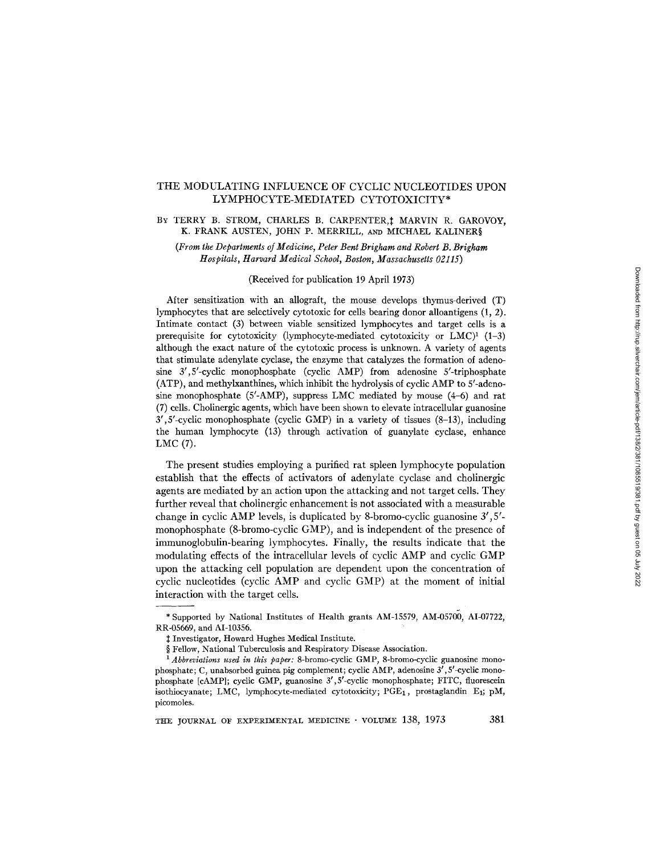# THE MODULATING INFLUENCE OF CYCLIC NUCLEOTIDES UPON LYMPHOCYTE-MEDIATED CYTOTOXICITY\*

## BY TERRY B. STROM, CHARLES B. CARPENTER, † MARVIN R. GAROVOY, K. FRANK AUSTEN, JOHN P. MERRILL, AND MICHAEL KALINER§

*(From the Departments oJ Medicine, Peter Bent Brigham and Robert B. Brigham Hospitals, Harvard Medical School, Boston, Massachusetts 02115)* 

## (Received for publication 19 April 1973)

After sensitization with an allograft, the mouse develops thymus-derived (T) lymphocytes that are selectively cytotoxic for cells bearing donor alloantigens (1, 2). Intimate contact (3) between viable sensitized lymphocytes and target cells is a prerequisite for cytotoxicity (lymphocyte-mediated cytotoxicity or  $LMC$ <sup>1</sup> (1-3) although the exact nature of the cytotoxic process is unknown. A variety of agents that stimulate adenylate cyclase, the enzyme that catalyzes the formation of adenosine 3',5'-cyclic monophosphate (cyclic AMP) from adenosine 5'-triphosphate (ATP), and methylxanthines, which inhibit the hydrolysis of cyclic AMP to 5'-adenosine monophosphate  $(5'$ -AMP), suppress LMC mediated by mouse  $(4-6)$  and rat (7) cells. Cholinergic agents, which have been shown to elevate intracellular guanosine 3',5'-cyclic monophosphate (cyclic GMP) in a variety of tissues (8-13), including the human lymphocyte (13) through activation of guanylate cyclase, enhance LMC (7).

The present studies employing a purified rat spleen lymphocyte population establish that the effects of activators of adenylate cyclase and cholinergic agents are mediated by an action upon the attacking and not target cells. They further reveal that cholinergic enhancement is not associated with a measurable change in cyclic AMP levels, is duplicated by 8-bromo-cyclic guanosine 3', 5' monophosphate (8-bromo-cyclic GMP), and is independent of the presence of immunoglobulin-bearing lymphocytes. Finally, the results indicate that the modulating effects of the intracellular levels of cyclic AMP and cyclic GMP upon the attacking cell population are dependent upon the concentration of cyclic nucleotides (cyclic AMP and cyclic GMP) at the moment of initial interaction with the target cells.

<sup>\*</sup> Supported by National Institutes of Health grants AM-15579, AM-05700, AI-07722, RR-05669, and AI-10356.

Investigator, Howard Hughes Medical Institute.

<sup>§</sup> Fellow, National Tuberculosis and Respiratory Disease Association.

*<sup>1</sup> Abbreviations used in this paper:* 8-bromo-cyclic GMP, 8-bromo-cyclic guanosine monophosphate; C, unabsorbed guinea pig complement; cyclic AMP, adenosine 3', 5'-cyclic monophosphate [cAMP]; cyclic GMP, guanosine  $3', 5'$ -cyclic monophosphate; FITC, fluorescein isothiocyanate; LMC, lymphocyte-mediated cytotoxicity;  $PGE_1$ , prostaglandin E<sub>1</sub>; pM, picomoles.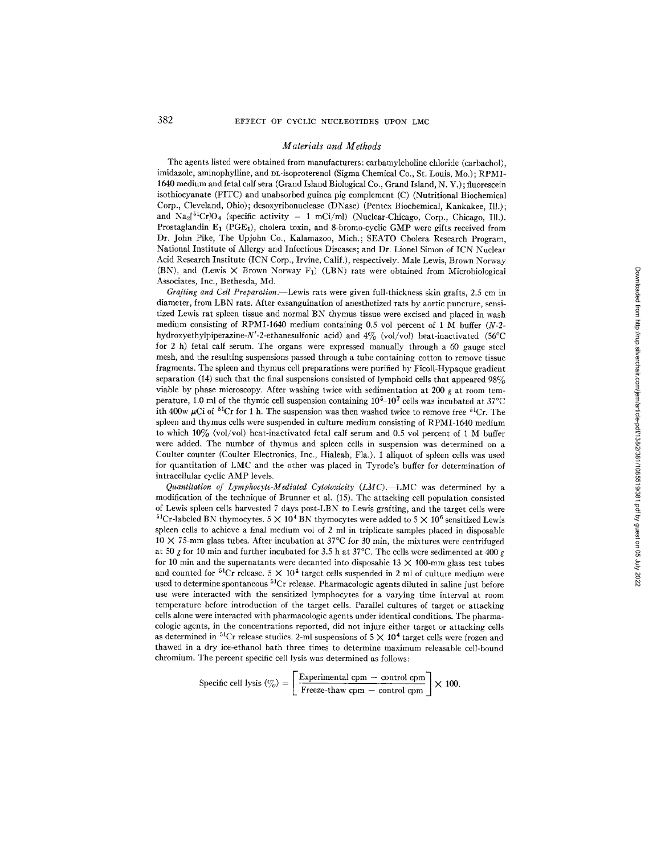#### *Materials and Methods*

The agents listed were obtained from manufacturers: carbamylcholine chloride (carbachol), imidazole, aminophylline, and DL-isoproterenol (Sigma Chemical Co., St. Louis, Mo.); RPMI-1640 medium and fetal calf sera (Grand Island Biological Co., Grand Island, N. Y.) ; fluorescein isothiocyanate (FITC) and unabsorbed guinea pig complement (C) (Nutritional Biochemical Corp., Cleveland, Ohio); desoxyribonuclease (DNase) (Pentex Biochemical, Kankakee, Ill.); and  $\text{Na}_2[^{51}\text{Cr}]}$  (specific activity = 1 mCi/ml) (Nuclear-Chicago, Corp., Chicago, Ill.). Prostaglandin  $E_1$  (PGE<sub>1</sub>), cholera toxin, and 8-bromo-cyclic GMP were gifts received from Dr. John Pike, The Upjohn Co., Kalamazoo, Mich.; SEATO Cholera Research Program, National Institute of Allergy and Infectious Diseases; and Dr. Lionel Simon of ICN Nuclear Acid Research Institute (ICN Corp., Irvine, Calif.), respectively. Male Lewis, Brown Norway (BN), and (Lewis  $\times$  Brown Norway F<sub>1</sub>) (LBN) rats were obtained from Microbiological Associates, Inc., Bethesda, Md.

*Grafting and Cell Preparation.--Lewis* rats were given full-thickness skin grafts, 2.5 cm in diameter, from LBN rats. After exsanguination of anesthetized rats by aortic puncture, sensitized Lewis rat spleen tissue and normal *BN* thymus tissue were excised and placed in wash medium consisting of RPMI-1640 medium containing 0.5 vol percent of 1 M buffer (N-2 hydroxyethylpiperazine-N'-2-ethanesulfonic acid) and  $4\%$  (vol/vol) heat-inactivated (56°C for 2 h) fetal calf serum. The organs were expressed manually through a 60 gauge steel mesh, and the resulting suspensions passed through a tube containing cotton to remove tissue fragments. The spleen and thymus cell preparations were purified by Ficoll-Hypaque gradient separation (14) such that the final suspensions consisted of lymphoid cells that appeared  $98\%$ viable by phase microscopy. After washing twice with sedimentation at 200  $g$  at room temperature, 1.0 ml of the thymic cell suspension containing  $10^5-10^7$  cells was incubated at 37°C ith 400w  $\mu$ Ci of <sup>51</sup>Cr for 1 h. The suspension was then washed twice to remove free <sup>51</sup>Cr. The spleen and thymus cells were suspended in culture medium consisting of RPMI-1640 medium to which  $10\%$  (vol/vol) heat-inactivated fetal calf serum and 0.5 vol percent of 1 M buffer were added. The number of thymus and spleen cells in suspension was determined on a Coulter counter (Coulter Electronics, Inc., Hialeah, Fla.). 1 aliquot of spleen cells was used for quantitation of LMC and the other was placed in Tyrode's buffer for determination of intracellular cyclic AMP levels.

*Quantitation of Lymphocyte-Mediated Cytotoxicity (LMC).--LMC* was determined by a modification of the technique of Brunner et al. (15). The attacking cell population consisted of Lewis spleen cells harvested 7 days post-LBN to Lewis grafting, and the target cells were <sup>51</sup>Cr-labeled BN thymocytes. 5  $\times$  10<sup>4</sup> BN thymocytes were added to 5  $\times$  10<sup>6</sup> sensitized Lewis spleen cells to achieve a final medium vol of 2 ml in triplicate samples placed in disposable  $10 \times 75$ -mm glass tubes. After incubation at  $37^{\circ}$ C for 30 min, the mixtures were centrifuged at 50 g for 10 min and further incubated for 3.5 h at  $37^{\circ}$ C. The cells were sedimented at 400 g for 10 min and the supernatants were decanted into disposable 13  $\times$  100-mm glass test tubes and counted for <sup>51</sup>Cr release. 5  $\times$  10<sup>4</sup> target cells suspended in 2 ml of culture medium were used to determine spontaneous  ${}^{51}Cr$  release. Pharmacologic agents diluted in saline just before use were interacted with the sensitized lymphocytes for a varying time interval at room temperature before introduction of the target cells. Parallel cultures of target or attacking cells alone were interacted with pharmacologic agents under identical conditions. The pharmacologic agents, in the concentrations reported, did not injure either target or attacking cells as determined in <sup>51</sup>Cr release studies. 2-ml suspensions of  $5 \times 10^4$  target cells were frozen and thawed in a dry ice-ethanol bath three times to determine maximum releasable cell-bound chromium. The percent specific cell lysis was determined as follows:

Specific cell lysis 
$$
(\%) = \left[ \frac{\text{Experimental cpm} - \text{control cpm}}{\text{Freeze-thaw cpm} - \text{control cpm}} \right] \times 100.
$$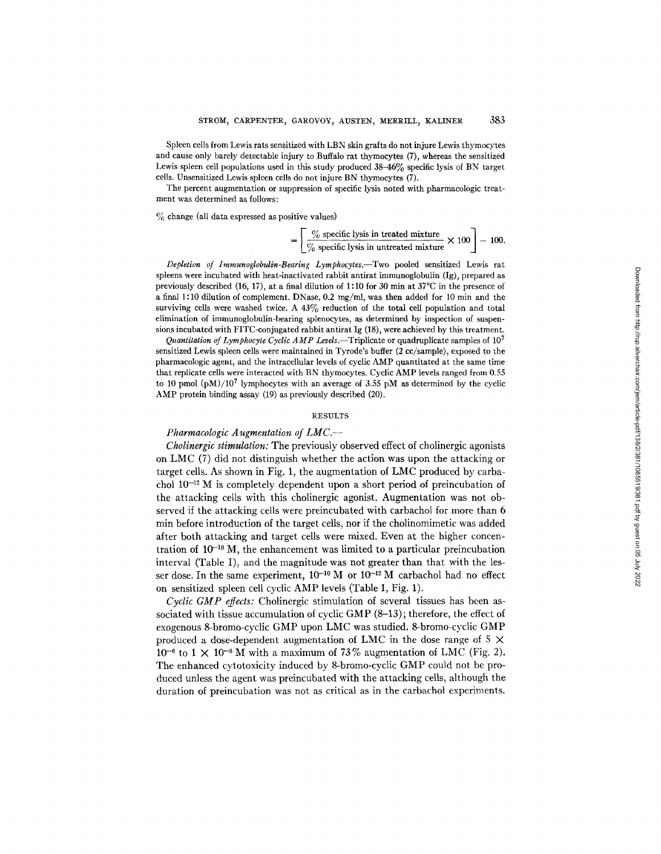Spleen cells from Lewis rats sensitized with LBN skin grafts do not injure Lewis thymocytes and cause only barely detectable injury to Buffalo rat thymocytes (7), whereas the sensitized Lewis spleen cell populations used in this study produced 38-46% specific lysis of BN target cells. Unsensitized Lewis spleen cells do not injure BN thymocytes (7).

The percent augmentation or suppression of specific lysis noted with pharmacologic treatment was determined as follows:

 $\%$  change (all data expressed as positive values)

$$
= \left[ \frac{\% \text{ specific lysis in treated mixture}}{\% \text{ specific lysis in untreated mixture}} \times 100 \right] - 100.
$$

*Depletion of Immunoglobulin-Bearing Lymphocytes.--Two* pooled sensitized Lewis rat spleens were incubated with heat-inactivated rabbit antirat immunoglobulin (Ig), prepared as previously described (16, 17), at a final dilution of 1:10 for 30 min at  $37^{\circ}$ C in the presence of a final 1:10 dilution of complement. DNase, 0.2 mg/ml, was then added for 10 min and the surviving cells were washed twice. A 43% reduction of the total cell population and total elimination of immunoglobulin-bearing splenocytes, as determined by inspection of suspensions incubated with FITC-conjugated rabbit antirat Ig (18), were achieved by this treatment.

*Quantitation of Lymphocyte Cyclic AMP Levels.*—Triplicate or quadruplicate samples of  $10^{7}$ sensitized Lewis spleen cells were maintained in Tyrode's buffer (2 cc/sample), exposed to the pharmacologic agent, and the intracellular levels of cyclic AMP quantitated at the same time that replicate cells were interacted with BN thymocytes. Cyclic AMP levels ranged from 0.55 to 10 pmol  $(pM)/10^7$  lymphocytes with an average of 3.55 pM as determined by the cyclic AMP protein binding assay (19) as previously described (20).

### RESULTS

## *Pharmacologic Augmentation of LMC.--*

*Cholinergic stimulation:* The previously observed effect of cholinergic agonists on LMC (7) did not distinguish whether the action was upon the attacking or target cells. As shown in Fig. 1, the augmentation of LMC produced by carbachol  $10^{-12}$  M is completely dependent upon a short period of preincubation of the attacking cells with this cholinergic agonist. Augmentation was not observed if the attacking cells were preincubated with carbachol for more than 6 min before introduction of the target cells, nor if the cholinomimetic was added after both attacking and target cells were mixed. Even at the higher concentration of  $10^{-10}$  M, the enhancement was limited to a particular preincubation interval (Table I), and the magnitude was not greater than that with the lesser dose. In the same experiment,  $10^{-10}$  M or  $10^{-12}$  M carbachol had no effect on sensitized spleen cell cyclic AMP levels (Table I, Fig. 1).

*Cyclic GMP effects:* Cholinergic stimulation of several tissues has been associated with tissue accumulation of cyclic GMP (8-13) ; therefore, the effect of exogenous 8-bromo-cyclic GMP upon LMC was studied. 8-bromo-cyclic GMP produced a dose-dependent augmentation of LMC in the dose range of 5  $\times$  $10^{-6}$  to  $1 \times 10^{-8}$  M with a maximum of 73% augmentation of LMC (Fig. 2). The enhanced cytotoxicity induced by 8-bromo-cyclic GMP could not be produced unless the agent was preincubated with the attacking cells, although the duration of preincubation was not as critical as in the carbachol experiments.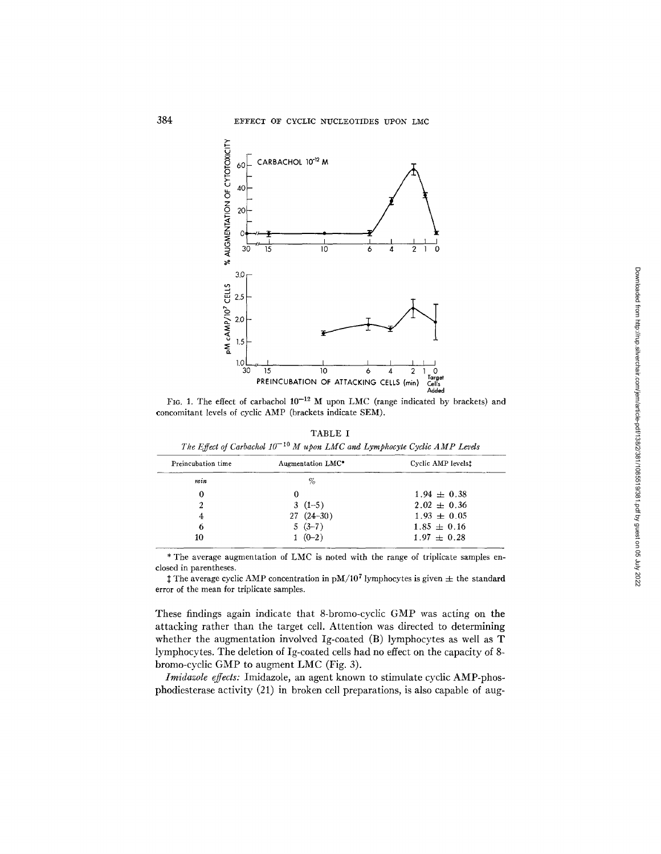

FIG. 1. The effect of carbachol  $10^{-12}$  M upon LMC (range indicated by brackets) and concomitant levels of cyclic AMP (brackets indicate SEM).

TABLE I The Effect of Carbachol  $10^{-10}$  M upon LMC and Lymphocyte Cyclic AMP Levels

| Preincubation time | Augmentation LMC* | Cyclic AMP levelst |
|--------------------|-------------------|--------------------|
| $_{min}$           | %                 |                    |
|                    | 0                 | $1.94 \pm 0.38$    |
|                    | $3(1-5)$          | $2.02 \pm 0.36$    |
| 4                  | $27(24-30)$       | $1.93 \pm 0.05$    |
| 6                  | $5(3-7)$          | $1.85 \pm 0.16$    |
| 10                 | $1(0-2)$          | $1.97 \pm 0.28$    |

\* The average augmentation of LMC is noted with the range of triplicate samples enclosed in parentheses.

<sup> $\ddagger$ </sup> The average cyclic AMP concentration in pM/10<sup>7</sup> lymphocytes is given  $\pm$  the standard error of the mean for triplicate samples.

These findings again indicate that 8-bromo-cyclic GMP was acting on the attacking rather than the target cell. Attention was directed to determining whether the augmentation involved Ig-coated (B) lymphocytes as well as T lymphocytes. The deletion of Ig-coated cells had no effect on the capacity of 8bromo-cyclic GMP to augment LMC (Fig. 3).

Imidazole effects: Imidazole, an agent known to stimulate cyclic AMP-phosphodiesterase activity (21) in broken cell preparations, is also capable of aug-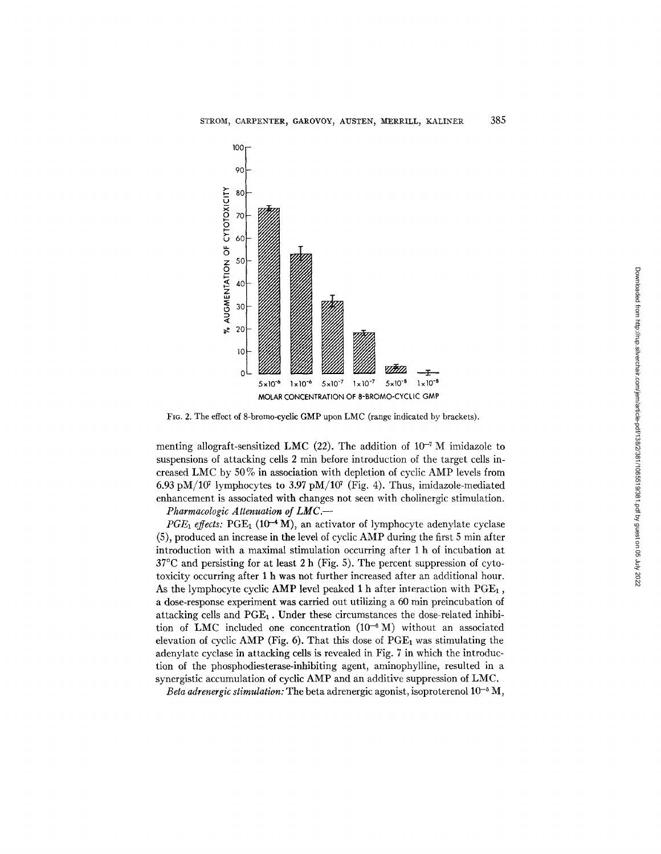

FIG. 2. The effect of 8-bromo-cyclic GMP upon LMC (range indicated by brackets).

menting allograft-sensitized LMC (22). The addition of  $10^{-7}$  M imidazole to suspensions of attacking cells 2 min before introduction of the target cells increased LMC by 50% in association with depletion of cyclic AMP levels from 6.93 pM/10<sup>7</sup> lymphocytes to 3.97 pM/10<sup>7</sup> (Fig. 4). Thus, imidazole-mediated enhancement is associated with changes not seen with cholinergic stimulation. *Pharmacologic Attenuation of LMC.--* 

*PGE<sub>1</sub>* effects: PGE<sub>1</sub> (10<sup>-4</sup> M), an activator of lymphocyte adenylate cyclase  $(5)$ , produced an increase in the level of cyclic AMP during the first 5 min after introduction with a maximal stimulation occurring after 1 h of incubation at 37°C and persisting for at least 2 h (Fig. 5). The percent suppression of cytotoxicity occurring after 1 h was not further increased after an additional hour. As the lymphocyte cyclic AMP level peaked 1 h after interaction with  $PGE<sub>1</sub>$ , a dose-response experiment was carried out utilizing a 60 min preincubation of attacking cells and  $PGE_1$ . Under these circumstances the dose-related inhibition of LMC included one concentration  $(10^{-6} M)$  without an associated elevation of cyclic AMP (Fig. 6). That this dose of  $PGE<sub>1</sub>$  was stimulating the adenylate cyclase in attacking cells is revealed in Fig. 7 in which the introduction of the phosphodiesterase-inhibiting agent, aminophyUine, resulted in a synergistic accumulation of cyclic AMP and an additive suppression of LMC.

*Beta adrenergic stimulation:* The beta adrenergic agonist, isoproterenol  $10^{-5}$  M,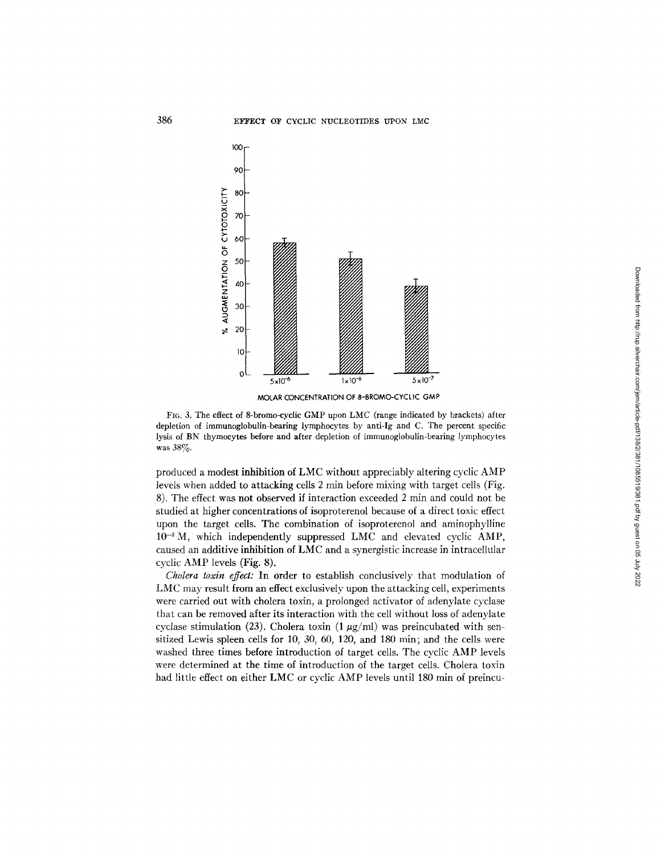

**MOLAR CONCENTRATION OF 8-BROMO-CYCLIC GMP** 

FIG. 3. The effect of 8-bromo-cyclic GMP upon LMC (range indicated by brackets) after depletion of immunoglobulin-bearing lymphocytes by anti-Ig and C. The percent specific lysis of BN thymocytes before and after depletion of immunoglobulin-bearing lymphocytes was 38%.

produced a modest inhibition of LMC without appreciably altering cyclic AMP levels when added to attacking cells 2 min before mixing with target cells (Fig. 8). The effect was not observed if interaction exceeded 2 min and could not be studied at higher concentrations of isoproterenol because of a direct toxic effect upon the target cells. The combination of isoproterenol and aminophylline  $10^{-3}$  M, which independently suppressed LMC and elevated cyclic AMP, caused an additive inhibition of LMC and a synergistic increase in intracellular cyclic AMP levels (Fig. 8).

*Cholera toxin effect:* In order to establish conclusively that modulation of LMC may result from an effect exclusively upon the attacking cell, experiments were carried out with cholera toxin, a prolonged activator of adenylate cyclase that can be removed after its interaction with the cell without loss of adenylate cyclase stimulation (23). Cholera toxin (1  $\mu$ g/ml) was preincubated with sensitized Lewis spleen cells for 10, 30, 60, 120, and 180 min; and the cells were washed three times before introduction of target cells. The cyclic AMP levels were determined at the time of introduction of the target cells. Cholera toxin had little effect on either LMC or cyclic AMP levels until 180 min of preincu-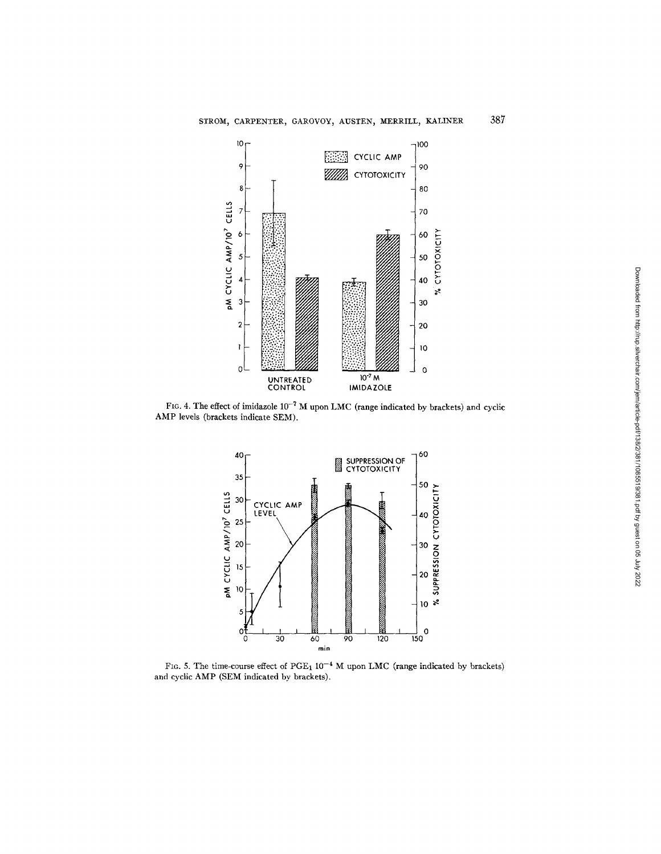

FIG. 4. The effect of imidazole  $10^{-7}$  M upon LMC (range indicated by brackets) and cyclic AMP levels (brackets indicate SEM).



FIG. 5. The time-course effect of PGE<sub>1</sub>  $10^{-4}$  M upon LMC (range indicated by brackets) and cyclic AMP (SEM indicated by brackets).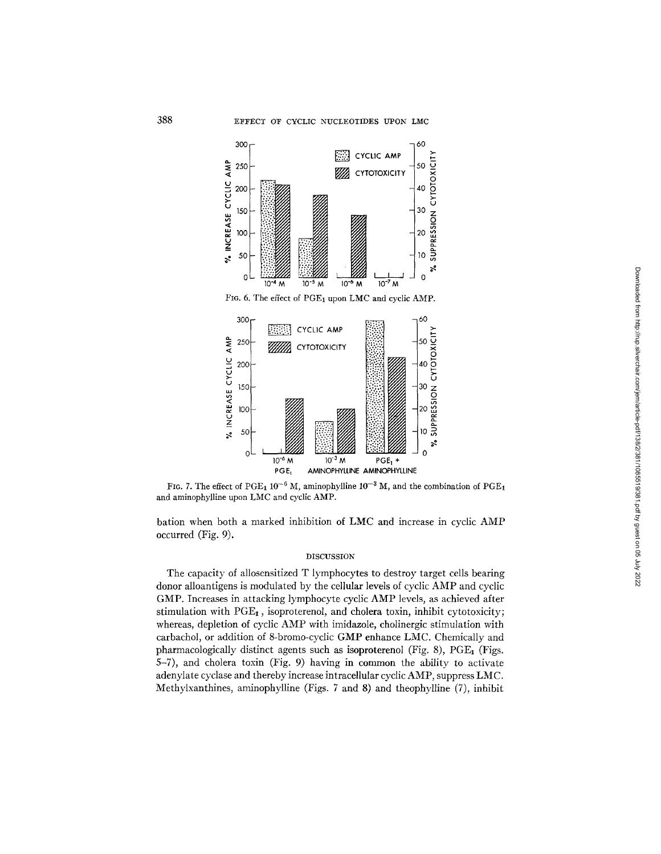





bation when both a marked inhibition of LMC and increase in cyclic AMP occurred (Fig. 9).

### DISCUSSION

The capacity of allosensitized T lymphocytes to destroy target cells bearing donor alloantigens is modulated by the cellular levels of cyclic AMP and cyclic GMP. Increases in attacking lymphocyte cyclic AMP levels, as achieved after stimulation with  $PGE<sub>1</sub>$ , isoproterenol, and cholera toxin, inhibit cytotoxicity; whereas, depletion of cyclic AMP with imidazole, cholinergic stimulation with carbachol, or addition of 8-bromo-cyclic GMP enhance LMC. Chemically and pharmacologically distinct agents such as isoproterenol (Fig. 8),  $PGE<sub>1</sub>$  (Figs. 5-7), and cholera toxin (Fig. 9) having in common the ability to activate adenylate cyclase and thereby increase intracellular cyclic AMP, suppress LMC. Methylxanthines, aminophylline (Figs. 7 and 8) and theophylline (7), inhibit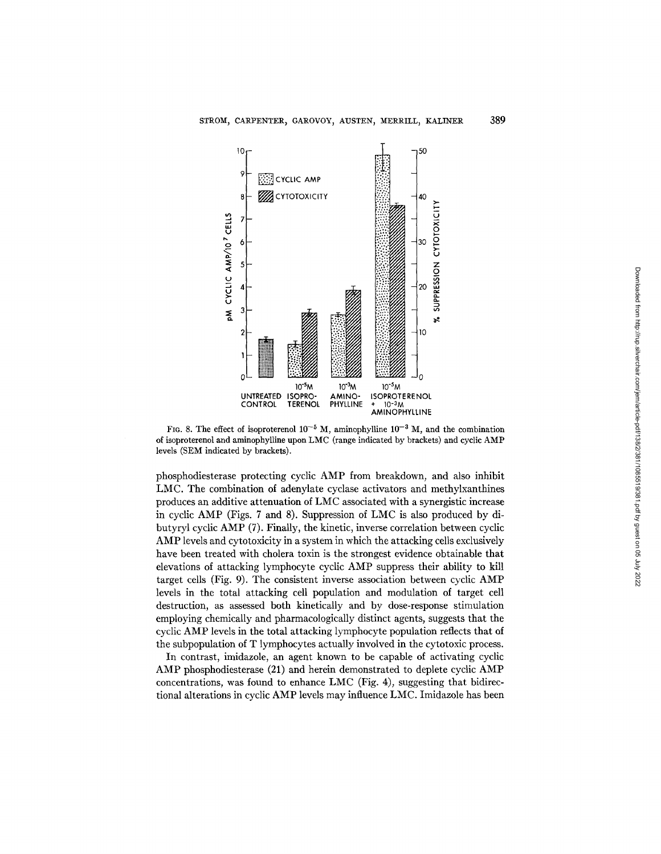

FIG. 8. The effect of isoproterenol  $10^{-5}$  M, aminophylline  $10^{-3}$  M, and the combination of isoproterenol and aminophylline upon LMC (range indicated by brackets) and cyclic AMP levels (SEM indicated by brackets).

phosphodiesterase protecting cyclic AMP from breakdown, and also inhibit LMC. The combination of adenylate cyclase activators and methylxanthines produces an additive attenuation of LMC associated with a synergistic increase in cyclic AMP (Figs. 7 and 8). Suppression of LMC is also produced by dibutyryl cyclic AMP (7). Finally, the kinetic, inverse correlation between cyclic AMP levels and cytotoxicity in a system in which the attacking cells exclusively have been treated with cholera toxin is the strongest evidence obtainable that elevations of attacking lymphocyte cyclic AMP suppress their ability to kill target cells (Fig. 9). The consistent inverse association between cyclic AMP levels in the total attacking cell population and modulation of target cell destruction, as assessed both kinetically and by dose-response stimulation employing chemically and pharmacologically distinct agents, suggests that the cyclic AMP levels in the total attacking lymphocyte population reflects that of the subpopulation of T lymphocytes actually involved in the cytotoxic process.

In contrast, imidazole, an agent known to be capable of activating cyclic AMP phosphodiesterase (21) and herein demonstrated to deplete cyclic AMP concentrations, was found to enhance LMC (Fig. 4), suggesting that bidirectional alterations in cyclic AMP levels may influence LMC. Imidazole has been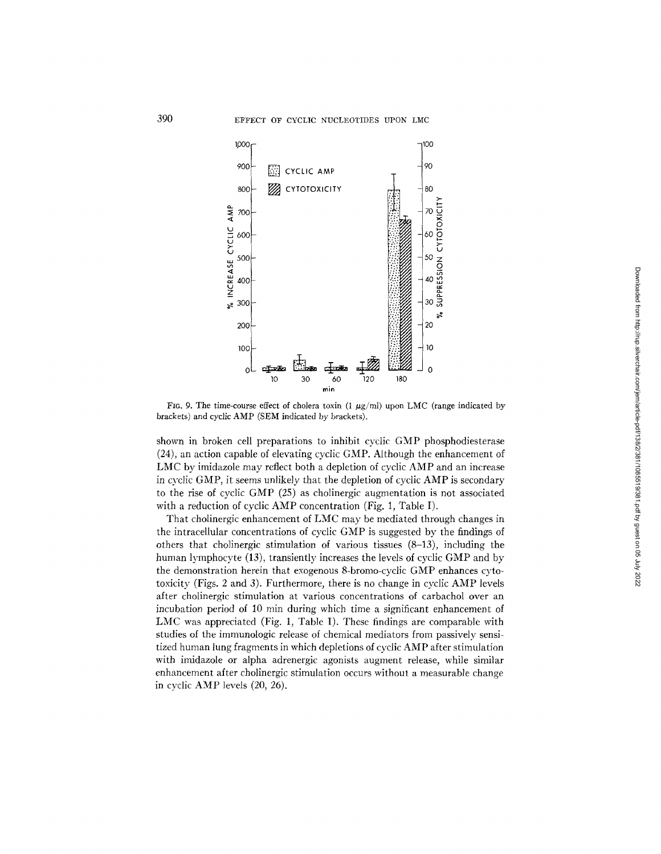

FIG. 9. The time-course effect of cholera toxin (1  $\mu$ g/ml) upon LMC (range indicated by brackets) and cyclic AMP (SEM indicated by brackets).

shown in broken cell preparations to inhibit cyclic GMP phosphodiesterase (24), an action capable of elevating cyclic GMP. Although the enhancement of LMC by imidazole may reflect both a depletion of cyclic AMP and an increase in cyclic GMP, it seems unlikely that the depletion of cyclic AMP is secondary to the rise of cyclic GMP (25) as cholinergic augmentation is not associated with a reduction of cyclic AMP concentration (Fig. 1, Table I).

That cholinergic enhancement of LMC may be mediated through changes in the intracellular concentrations of cyclic GMP is suggested by the findings of others that cholinergic stimulation of various tissues (8-13), including the human lymphocyte (13), transiently increases the levels of cyclic GMP and by the demonstration herein that exogenous 8-bromo-cyclie GMP enhances cytotoxicity (Figs. 2 and 3). Furthermore, there is no change in cyclic  $AMP$  levels after cholinergic stimulation at various concentrations of carbachol over an incubation period of 10 min during which time a significant enhancement of *LMC* was appreciated (Fig. 1, Table I). These findings are comparable with studies of the immunologic release of chemical mediators from passively sensitized human lung fragments in which depletions of cyclic AMP after stimulation with imidazole or alpha adrenergic agonists augment release, while similar enhancement after cholinergic stimulation occurs without a measurable change in cyclic AMP levels (20, 26).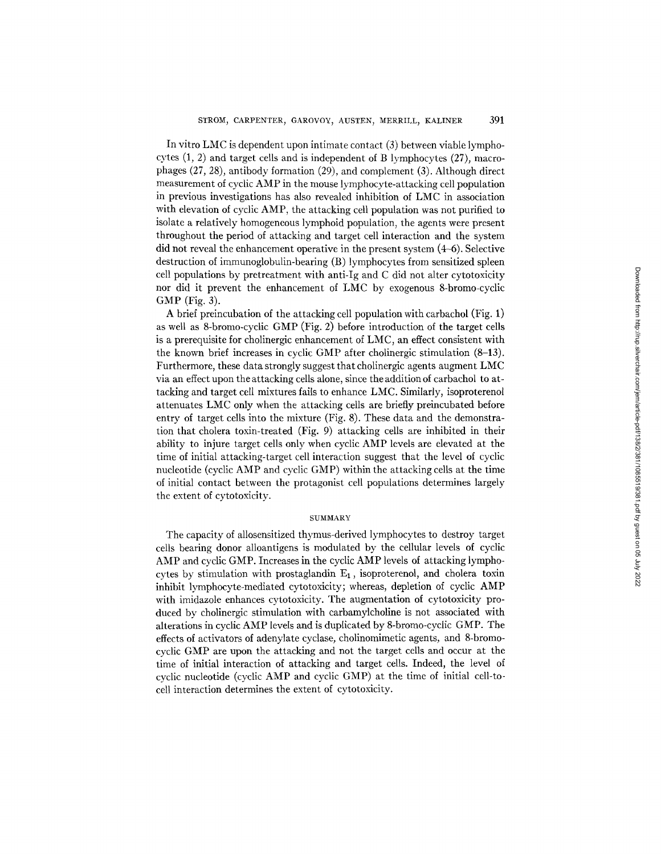In vitro LMC is dependent upon intimate contact (3) between viable lymphocytes (1, 2) and target cells and is independent of B lymphocytes (27), macrophages (27, 28), antibody formation (29), and complement (3). Although direct measurement of cyclic AMP in the mouse lymphocyte-attacking cell population in previous investigations has also revealed inhibition of LMC in association with elevation of cyclic AMP, the attacking cell population was not purified to isolate a relatively homogeneous lymphoid population, the agents were present throughout the period of attacking and target cell interaction and the system did not reveal the enhancement operative in the present system (4-6). Selective destruction of immunoglobulin-bearing (B) lymphocytes from sensitized spleen cell populations by pretreatment with anti-Ig and C did not alter cytotoxicity nor did it prevent the enhancement of LMC by exogenous 8-bromo-cyclic GMP (Fig. 3).

A brief preincubation of the attacking cell population with carbachol (Fig. 1) as well as 8-bromo-cyclic GMP (Fig. 2) before introduction of the target cells is a prerequisite for cholinergic enhancement of LMC, an effect consistent with the known brief increases in cyclic GMP after cholinergic stimulation (8-13). Furthermore, these data strongly suggest that cholinergic agents augment LMC via an effect upon the attacking cells alone, since the addition of carbachol to attacking and target cell mixtures fails to enhance LMC. Similarly, isoproterenol attenuates LMC only when the attacking cells are briefly preincubated before entry of target cells into the mixture (Fig. 8). These data and the demonstration that cholera toxin-treated (Fig. 9) attacking cells are inhibited in their ability to injure target cells only when cyclic AMP levels are elevated at the time of initial attacking-target cell interaction suggest that the level of cyclic nucleotide (cyclic AMP and cyclic GMP) within the attacking cells at the time of initial contact between the protagonist cell populations determines largely the extent of cytotoxicity.

#### **SUMMARY**

The capacity of allosensitized thymus-derived lymphocytes to destroy target cells bearing donor alloantigens is modulated by the cellular levels of cyclic AMP and cyclic GMP. Increases in the cyclic AMP levels of attacking lymphocytes by stimulation with prostaglandin  $E_1$ , isoproterenol, and cholera toxin inhibit lymphocyte-mediated cytotoxicity; whereas, depletion of cyclic AMP with imidazole enhances cytotoxicity. The augmentation of cytotoxicity produced by cholinergic stimulation with carbamylcholine is not associated with alterations in cyclic AMP levels and is duplicated by 8-bromo-cyclic GMP. The effects of activators of adenylate cyclase, cholinomimetic agents, and 8-bromocyclic GMP are upon the attacking and not the target cells and occur at the time of initial interaction of attacking and target cells. Indeed, the level of cyclic nucleotide (cyclic AMP and cyclic GMP) at the time of initial cell-tocell interaction determines the extent of cytotoxicity.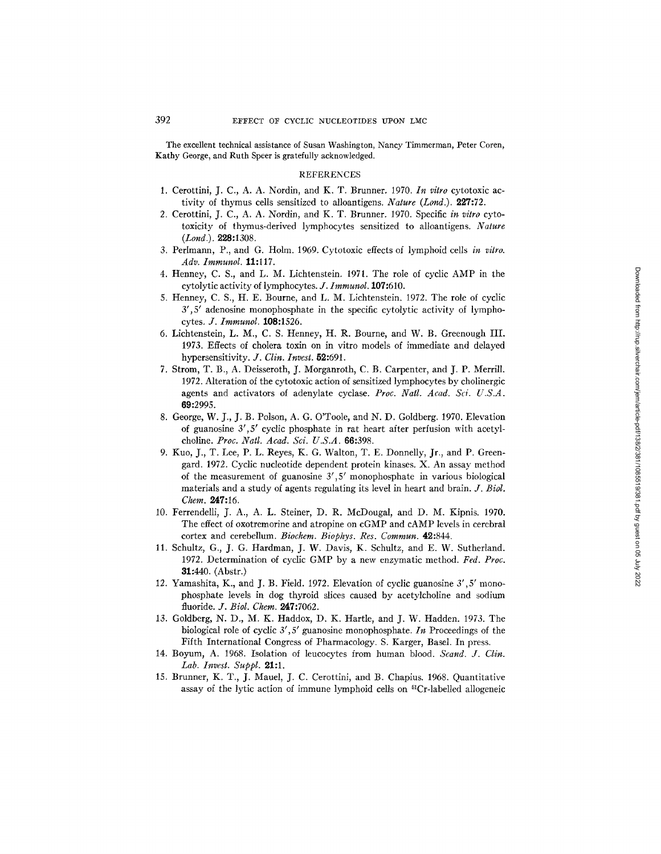The excellent technical assistance of Susan Washington, Nancy Timmerman, Peter Coren, Kathy George, and Ruth Speer is gratefully acknowledged.

### REFERENCES

- 1. Cerottini, J. C., A. A. Nordin, and K. T. Brunner. 1970. *In vitro* cytotoxic activity of thymus cells sensitized to alloantigens. *Nature (Land.).* 227:72.
- 2. Cerottini, J. C., A. A. Nordin, and K. T. Brunner. 1970. Specific *in vitro* cytotoxicity of thymus-derived lymphocytes sensitized to alloantigens. *Nature (Land.).* 228:1308.
- 3. Perlmann, P., and G. Holm. 1969. Cytotoxic effects of lymphoid cells *in vitro. Adv. Immunol.* 11:117.
- 4. Henney, C. S., and L. M. Lichtenstein. 1971. The role of cyclic AMP in the cytolytic activity of lymphocytes. *J. lmmunol.* 107:610.
- 5. Henney, C. S., H. E. Bourne, and L. M. Lichtenstein. 1972. The role of cyclic 3', 5' adenosine monophosphate in the specific cytolytic activity of lymphocytes. *J. Immunol.* 108:1526.
- 6. Lichtensteha, L. M., C. S. Henney, H. R. Bourne, and W. B. Greenough III. 1973. Effects of cholera toxin on in vitro models of immediate and delayed hypersensitivity. *J. Clin. Invest.* 52:691.
- 7. Strom, T. B., A. Deisseroth, J. Morganroth, C. B. Carpenter, and J. P. Merrill. 1972. Alteration of the cytotoxic action of sensitized lymphocytes by cholinergic agents and activators of adenylate cyclase. *Proc. Natl. Aead. Sci. U.S.A.*  69:2995.
- 8. George, W. J., J. B. Polson, A. G. O'Toole, and N. D. Goldberg. 1970. Elevation of guanosine  $3', 5'$  cyclic phosphate in rat heart after perfusion with acetylcholine. *Proc. Natl. Acad. Sci. U.S.A.* 66:398.
- 9. Kuo, J., T. Lee, P. L. Reyes, K. G. Walton, T. E. Donnelly, Jr., and P. Greengard. 1972. Cyclic nucleotide dependent protein kinases. X. An assay method of the measurement of guanosine  $3', 5'$  monophosphate in various biological materials and a study of agents regulating its level in heart and brain. *J. Biol. Chem.* 247:16.
- 10. Ferrendelli, J. A., A. L. Steiner, D. R. McDougal, and D. M. Kipnis. 1970. The effect of oxotremorine and atropine on cGMP and cAMP levels in cerebral cortex and cerebellum. *Biochem. Biophys. Res. Commun.* 42:844.
- 11. Schultz, G., J. G. Hardman, J. W. Davis, K. Schultz, and E. W. Sutherland. 1972. Determination of cyclic GMP by a new enzymatic method. *Fed. Proc.*  31:440. (Abstr.)
- 12. Yamashita, K., and J. B. Field. 1972. Elevation of cyclic guanosine  $3', 5'$  monophosphate levels in dog thyroid slices caused by acetylcholine and sodium fluoride. *J. Biol. Chem.* 247:7062.
- 13. Goldberg, N. D., M. K. Haddox, D. K. Hartle, and J. W. Hadden. 1973. The biological role of cyclic  $3', 5'$  guanosine monophosphate. In Proceedings of the Fifth International Congress of Pharmacology. S. Karger, Basel. In press.
- 14. 13oyum, A. 1968. Isolation of leucocytes from human blood. *Scand. J. Clin. Lab. Invest. Suppl.* 21:1.
- 15. Brunner, K. T., J. Mauel, J. C. Cerottini, and B. Chapius. 1968. Quantitative assay of the lytic action of immune lymphoid cells on <sup>51</sup>Cr-labelled allogeneic